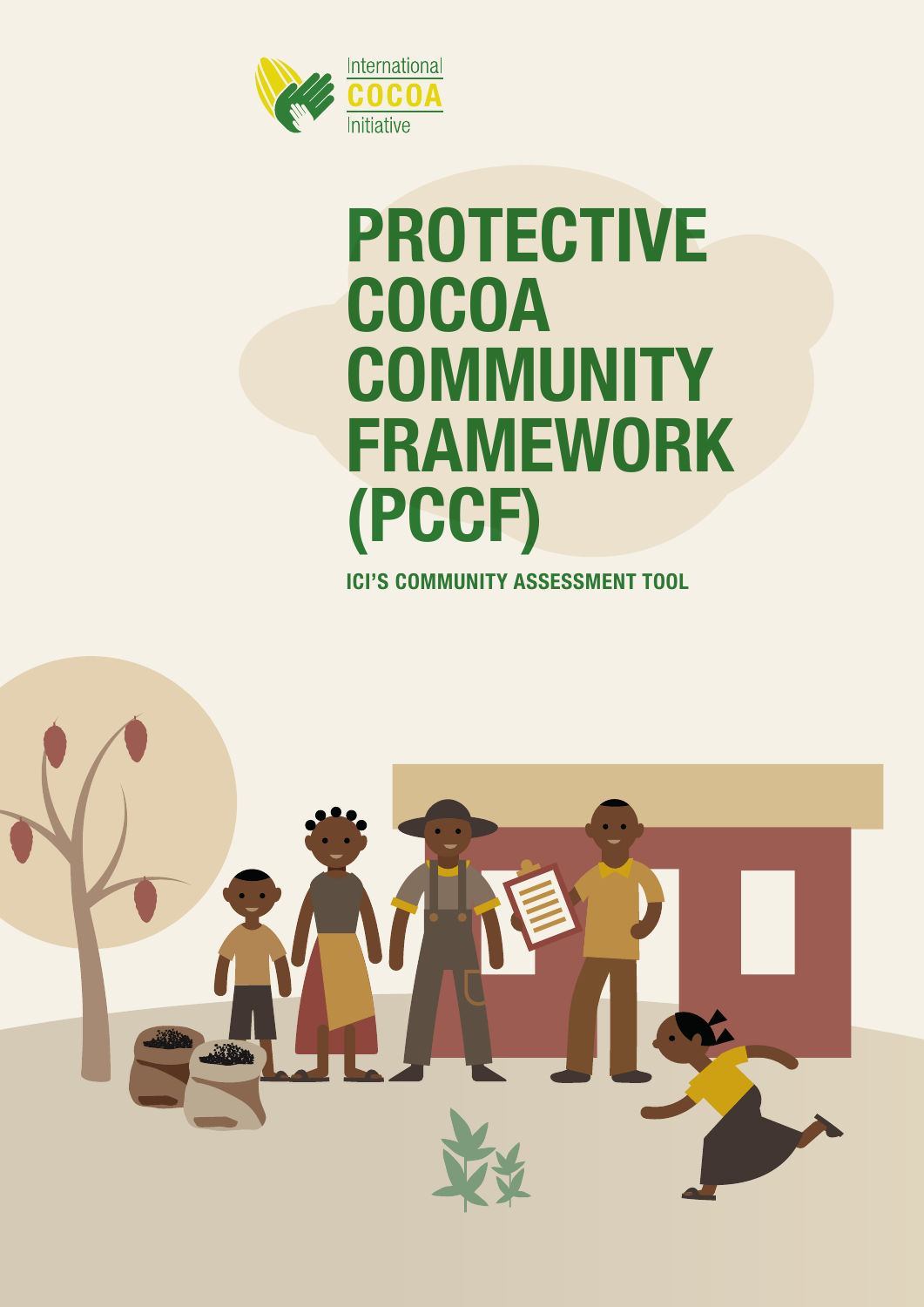

# **PROTECTIVE COCOA COMMUNITY FRAMEWORK (PCCF)**

**ICI'S COMMUNITY ASSESSMENT TOOL** 

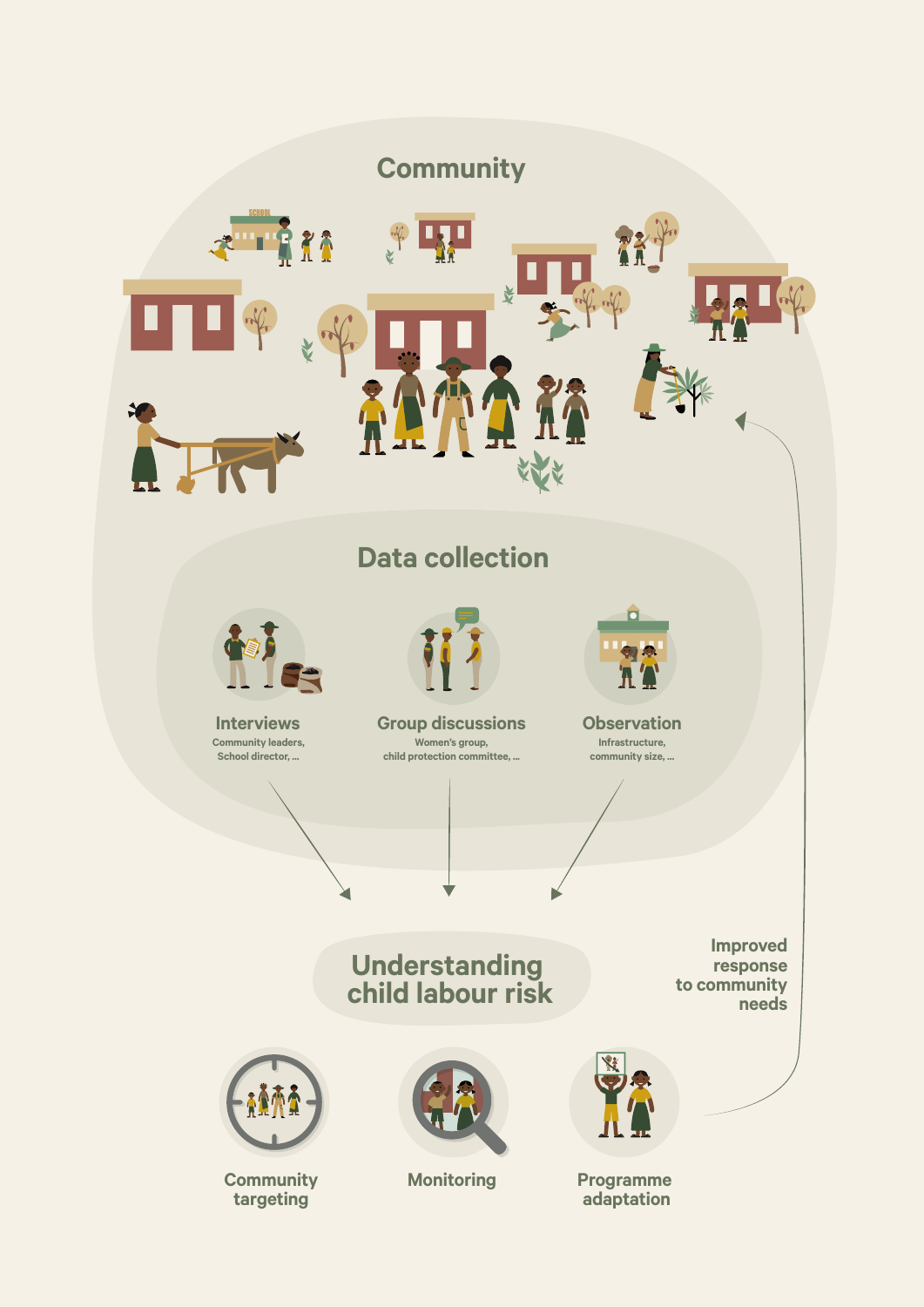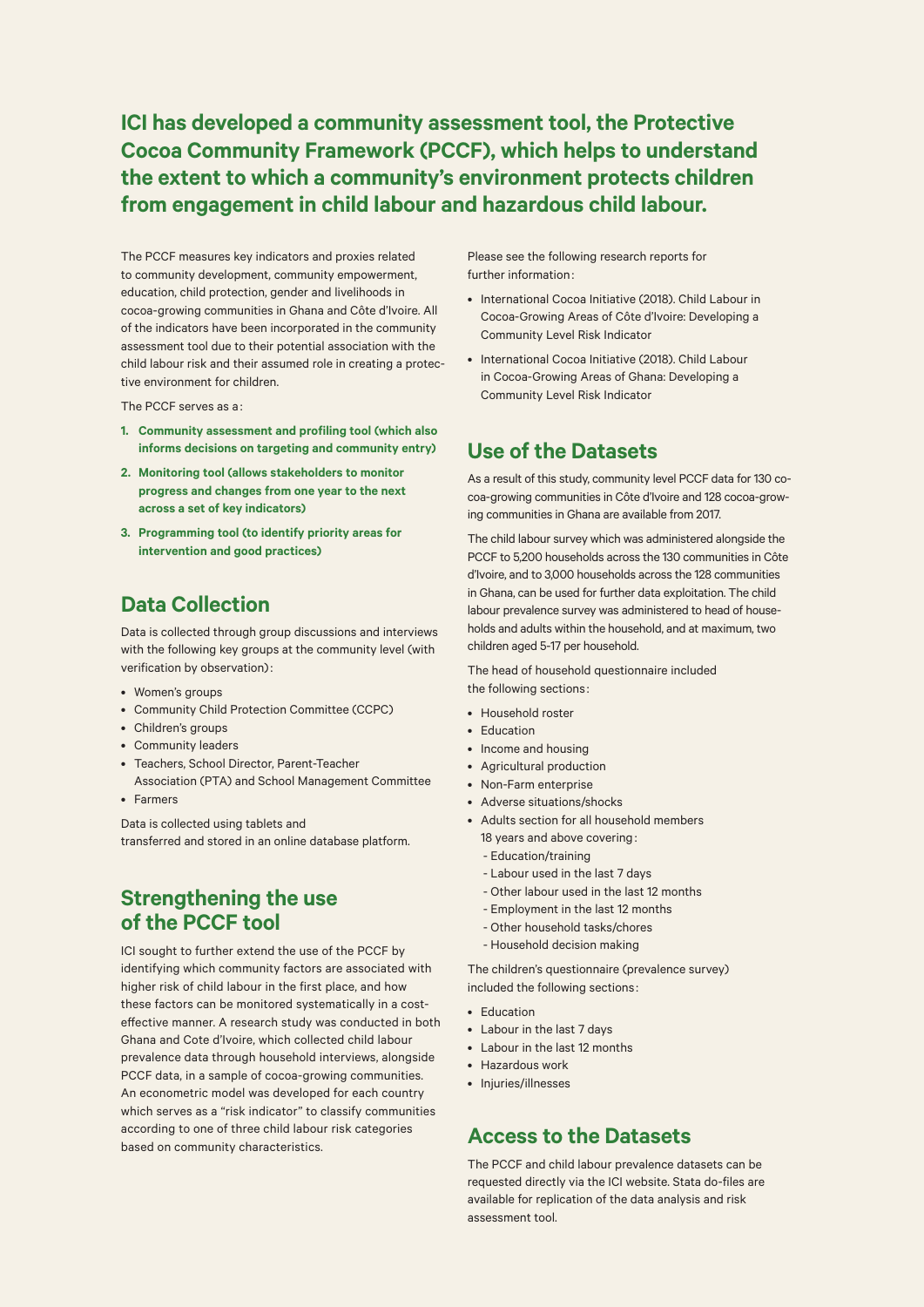**ICI has developed a community assessment tool, the Protective Cocoa Community Framework (PCCF), which helps to understand the extent to which a community's environment protects children from engagement in child labour and hazardous child labour.**

The PCCF measures key indicators and proxies related to community development, community empowerment, education, child protection, gender and livelihoods in cocoa-growing communities in Ghana and Côte d'Ivoire. All of the indicators have been incorporated in the community assessment tool due to their potential association with the child labour risk and their assumed role in creating a protective environment for children.

The PCCF serves as a :

- **1. Community assessment and profiling tool (which also informs decisions on targeting and community entry)**
- **2. Monitoring tool (allows stakeholders to monitor progress and changes from one year to the next across a set of key indicators)**
- **3. Programming tool (to identify priority areas for intervention and good practices)**

# **Data Collection**

Data is collected through group discussions and interviews with the following key groups at the community level (with verification by observation):

- Women's groups
- Community Child Protection Committee (CCPC)
- Children's groups
- Community leaders
- Teachers, School Director, Parent-Teacher
- Association (PTA) and School Management Committee • Farmers
- 

Data is collected using tablets and transferred and stored in an online database platform.

## **Strengthening the use of the PCCF tool**

ICI sought to further extend the use of the PCCF by identifying which community factors are associated with higher risk of child labour in the first place, and how these factors can be monitored systematically in a costeffective manner. A research study was conducted in both Ghana and Cote d'Ivoire, which collected child labour prevalence data through household interviews, alongside PCCF data, in a sample of cocoa-growing communities. An econometric model was developed for each country which serves as a "risk indicator" to classify communities according to one of three child labour risk categories based on community characteristics.

Please see the following research reports for further information :

- International Cocoa Initiative (2018). Child Labour in Cocoa-Growing Areas of Côte d'Ivoire: Developing a Community Level Risk Indicator
- International Cocoa Initiative (2018). Child Labour in Cocoa-Growing Areas of Ghana: Developing a Community Level Risk Indicator

#### **Use of the Datasets**

As a result of this study, community level PCCF data for 130 cocoa-growing communities in Côte d'Ivoire and 128 cocoa-growing communities in Ghana are available from 2017.

The child labour survey which was administered alongside the PCCF to 5,200 households across the 130 communities in Côte d'Ivoire, and to 3,000 households across the 128 communities in Ghana, can be used for further data exploitation. The child labour prevalence survey was administered to head of households and adults within the household, and at maximum, two children aged 5-17 per household.

The head of household questionnaire included the following sections :

- Household roster
- Education
- Income and housing
- Agricultural production
- Non-Farm enterprise
- Adverse situations/shocks
- Adults section for all household members
	- 18 years and above covering:
	- Education/training
	- Labour used in the last 7 days
	- Other labour used in the last 12 months
	- Employment in the last 12 months
	- Other household tasks/chores
	- Household decision making

The children's questionnaire (prevalence survey) included the following sections :

- Education
- Labour in the last 7 days
- Labour in the last 12 months
- Hazardous work
- Injuries/illnesses

### **Access to the Datasets**

The PCCF and child labour prevalence datasets can be requested directly via the ICI website. Stata do-files are available for replication of the data analysis and risk assessment tool.